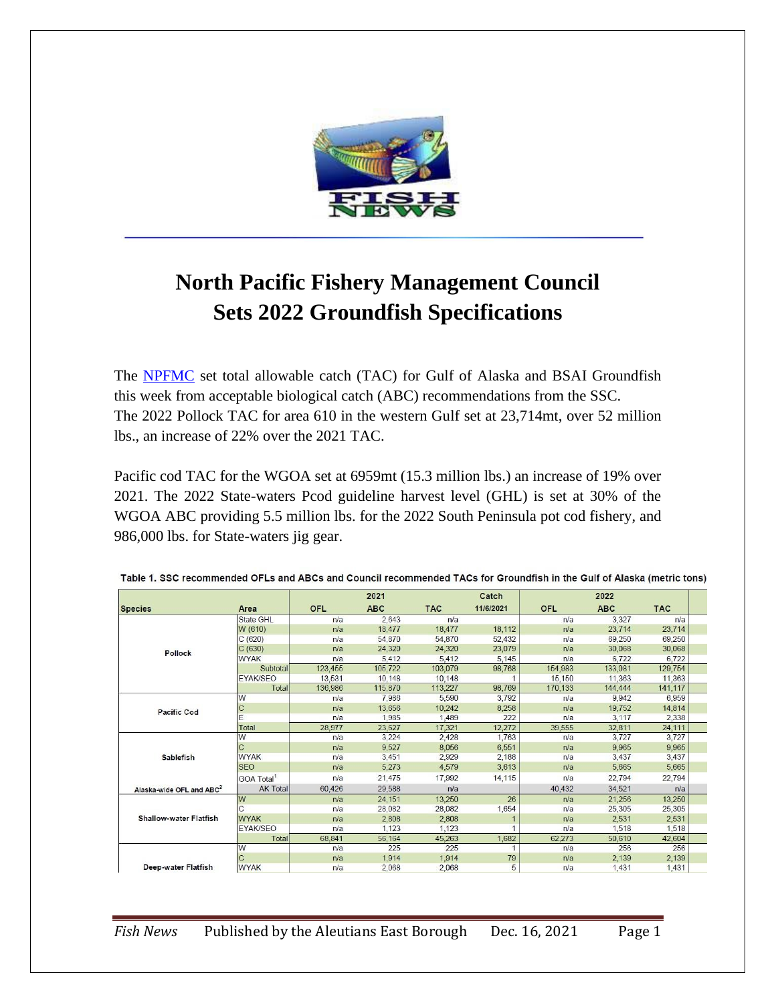

# **North Pacific Fishery Management Council Sets 2022 Groundfish Specifications**

The **NPFMC** set total allowable catch (TAC) for Gulf of Alaska and BSAI Groundfish this week from acceptable biological catch (ABC) recommendations from the SSC. The 2022 Pollock TAC for area 610 in the western Gulf set at 23,714mt, over 52 million lbs., an increase of 22% over the 2021 TAC.

Pacific cod TAC for the WGOA set at 6959mt (15.3 million lbs.) an increase of 19% over 2021. The 2022 State-waters Pcod guideline harvest level (GHL) is set at 30% of the WGOA ABC providing 5.5 million lbs. for the 2022 South Peninsula pot cod fishery, and 986,000 lbs. for State-waters jig gear.

|                                      |                        |            | 2021       |            | Catch     |            | 2022       |            |  |
|--------------------------------------|------------------------|------------|------------|------------|-----------|------------|------------|------------|--|
| <b>Species</b>                       | Area                   | <b>OFL</b> | <b>ABC</b> | <b>TAC</b> | 11/6/2021 | <b>OFL</b> | <b>ABC</b> | <b>TAC</b> |  |
|                                      | <b>State GHL</b>       | n/a        | 2,643      | n/a        |           | n/a        | 3,327      | n/a        |  |
|                                      | W (610)                | n/a        | 18,477     | 18,477     | 18,112    | n/a        | 23,714     | 23,714     |  |
|                                      | C(620)                 | n/a        | 54,870     | 54,870     | 52,432    | n/a        | 69,250     | 69,250     |  |
| Pollock                              | C(630)                 | n/a        | 24,320     | 24,320     | 23,079    | n/a        | 30,068     | 30,068     |  |
|                                      | <b>WYAK</b>            | n/a        | 5,412      | 5,412      | 5,145     | n/a        | 6,722      | 6,722      |  |
|                                      | <b>Subtotal</b>        | 123,455    | 105,722    | 103,079    | 98,768    | 154,983    | 133,081    | 129,754    |  |
|                                      | <b>EYAK/SEO</b>        | 13,531     | 10,148     | 10,148     |           | 15,150     | 11,363     | 11,363     |  |
|                                      | Total                  | 136,986    | 115,870    | 113,227    | 98,769    | 170,133    | 144,444    | 141,117    |  |
|                                      | W                      | n/a        | 7.986      | 5,590      | 3,792     | n/a        | 9,942      | 6,959      |  |
| <b>Pacific Cod</b>                   | $\mathsf{C}$           | n/a        | 13.656     | 10,242     | 8,258     | n/a        | 19,752     | 14,814     |  |
|                                      | F                      | n/a        | 1.985      | 1.489      | 222       | n/a        | 3,117      | 2,338      |  |
|                                      | Total                  | 28,977     | 23,627     | 17,321     | 12,272    | 39,555     | 32,811     | 24,111     |  |
|                                      | W                      | n/a        | 3,224      | 2,428      | 1,763     | n/a        | 3,727      | 3,727      |  |
|                                      | C                      | n/a        | 9,527      | 8,056      | 6,551     | n/a        | 9,965      | 9,965      |  |
| <b>Sablefish</b>                     | <b>WYAK</b>            | n/a        | 3,451      | 2,929      | 2,188     | n/a        | 3,437      | 3,437      |  |
|                                      | <b>SEO</b>             | n/a        | 5,273      | 4,579      | 3,613     | n/a        | 5,665      | 5,665      |  |
|                                      | GOA Total <sup>1</sup> | n/a        | 21,475     | 17,992     | 14,115    | n/a        | 22,794     | 22,794     |  |
| Alaska-wide OFL and ABC <sup>2</sup> | <b>AK Total</b>        | 60,426     | 29,588     | n/a        |           | 40,432     | 34,521     | n/a        |  |
| <b>Shallow-water Flatfish</b>        | lw                     | n/a        | 24.151     | 13.250     | 26        | n/a        | 21,256     | 13,250     |  |
|                                      |                        | n/a        | 28,082     | 28,082     | 1,654     | n/a        | 25,305     | 25,305     |  |
|                                      | <b>WYAK</b>            | n/a        | 2,808      | 2,808      |           | n/a        | 2,531      | 2,531      |  |
|                                      | <b>EYAK/SEO</b>        | n/a        | 1,123      | 1,123      |           | n/a        | 1,518      | 1,518      |  |
|                                      | Total                  | 68,841     | 56,164     | 45,263     | 1,682     | 62,273     | 50,610     | 42,604     |  |
|                                      | lw                     | n/a        | 225        | 225        | 1         | n/a        | 256        | 256        |  |
|                                      | C                      | n/a        | 1.914      | 1,914      | 79        | n/a        | 2,139      | 2,139      |  |
| Deep-water Flatfish                  | <b>WYAK</b>            | n/a        | 2.068      | 2.068      | 5         | n/a        | 1.431      | 1,431      |  |

Table 1. SSC recommended OFLs and ABCs and Council recommended TACs for Groundfish in the Gulf of Alaska (metric tons)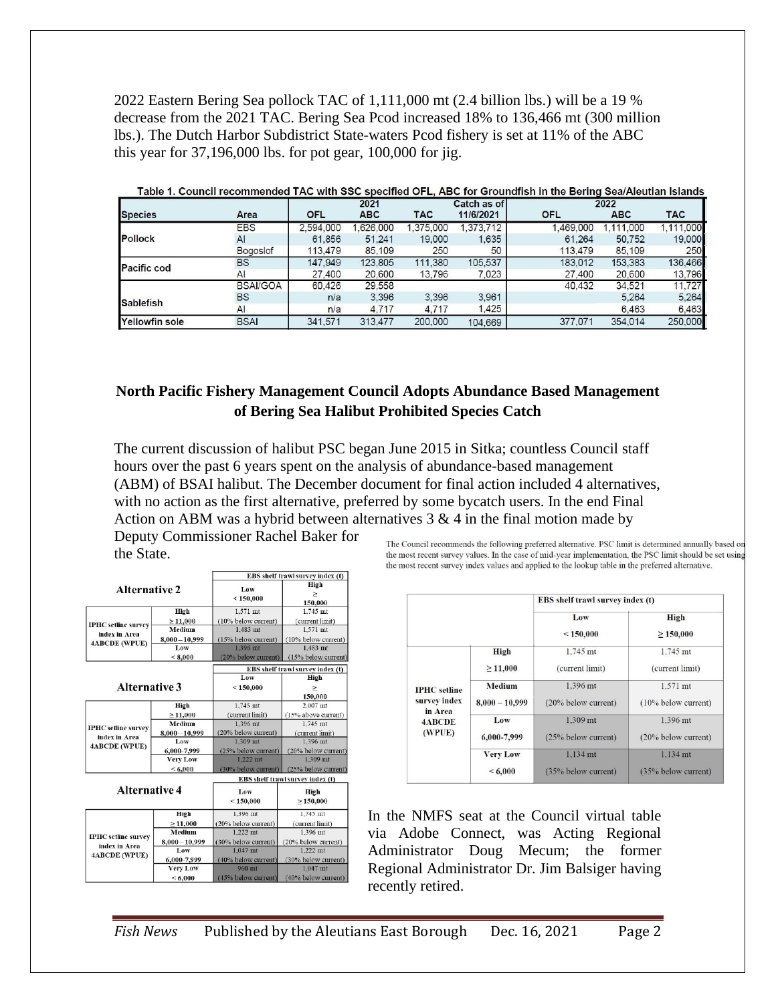2022 Eastern Bering Sea pollock TAC of 1,111,000 mt (2.4 billion lbs.) will be a 19 % decrease from the 2021 TAC. Bering Sea Pcod increased 18% to 136,466 mt (300 million lbs.). The Dutch Harbor Subdistrict State-waters Pcod fishery is set at 11% of the ABC this year for 37,196,000 lbs. for pot gear, 100,000 for jig.

|                                                                                                                |            | 2021       |            |           |            |             |            |
|----------------------------------------------------------------------------------------------------------------|------------|------------|------------|-----------|------------|-------------|------------|
| Area                                                                                                           | <b>OFL</b> | <b>ABC</b> | <b>TAC</b> | 11/6/2021 | <b>OFL</b> | <b>ABC</b>  | <b>TAC</b> |
| <b>EBS</b>                                                                                                     | 2.594.000  | .626,000   | .375.000   | 1.373.712 | 1,469,000  | 1.111.000   | 1,111,000  |
| AI                                                                                                             | 61.856     | 51.241     | 19,000     | 1,635     | 61.264     | 50,752      | 19,000     |
| Bogoslof                                                                                                       | 113,479    | 85,109     | 250        | 50        | 113,479    | 85,109      | 250        |
| <b>BS</b>                                                                                                      | 147,949    | 123,805    | 111.380    | 105.537   | 183,012    | 153,383     | 136,466    |
| AI                                                                                                             | 27,400     | 20,600     | 13,796     | 7.023     | 27,400     | 20,600      | 13,796     |
| <b>BSAI/GOA</b>                                                                                                | 60,426     | 29,558     |            |           | 40.432     | 34,521      | 11.727     |
| <b>BS</b>                                                                                                      | n/a        | 3.396      | 3.396      | 3.961     |            | 5.264       | 5,264      |
| AI                                                                                                             | n/a        | 4,717      | 4.717      | 1.425     |            | 6,463       | 6,463      |
| <b>BSAI</b>                                                                                                    | 341.571    | 313.477    | 200,000    | 104.669   | 377.071    | 354,014     | 250,000    |
| Table 1. Council recommended TAC with SSC specified OFL, ABC for Groundfish in the Bering Sea/Aleutian Islands |            |            |            |           |            | Catch as of | 2022       |

#### **North Pacific Fishery Management Council Adopts Abundance Based Management of Bering Sea Halibut Prohibited Species Catch**

The current discussion of halibut PSC began June 2015 in Sitka; countless Council staff hours over the past 6 years spent on the analysis of abundance-based management (ABM) of BSAI halibut. The December document for final action included 4 alternatives, with no action as the first alternative, preferred by some bycatch users. In the end Final Action on ABM was a hybrid between alternatives  $3 \& 4$  in the final motion made by Deputy Commissioner Rachel Baker for

the State.

|                                                                     |                  | EBS shelf trawl survey index (t) |                           |  |  |
|---------------------------------------------------------------------|------------------|----------------------------------|---------------------------|--|--|
| <b>Alternative 2</b>                                                |                  | Low<br>< 150,000                 | High<br>$\geq$<br>150,000 |  |  |
|                                                                     | High             | 1.571 mt                         | $1.745$ mt                |  |  |
| <b>IPHC</b> setline survey<br>index in Area<br><b>4ABCDE (WPUE)</b> | $\geq$ 11,000    | (10% below current)              | (current limit)           |  |  |
|                                                                     | Medium           | $1.483$ mt                       | $1.571$ mt                |  |  |
|                                                                     | $8,000 - 10,999$ | (15% below current)              | (10% below current)       |  |  |
|                                                                     | Low              | 1.396 mt                         | $1.483$ mt                |  |  |
|                                                                     | < 8,000          | (20% below current)              | (15% below current)       |  |  |
|                                                                     |                  | EBS shelf trawl survey index (t) |                           |  |  |
|                                                                     |                  | Low                              | High                      |  |  |
| <b>Alternative 3</b>                                                |                  | < 150,000                        |                           |  |  |
|                                                                     |                  |                                  | 150,000                   |  |  |
|                                                                     | High             | $1.745$ mt                       | 2,007 mt                  |  |  |
|                                                                     | $\geq 11,000$    | (current limit)                  | (15% above current)       |  |  |
|                                                                     | Medium           | $1.396$ mt                       | $1.745$ mt                |  |  |
| <b>IPHC</b> setline survey<br>index in Area                         | $8,000 - 10,999$ | (20% below current)              | (current limit)           |  |  |
|                                                                     | Low              | $1,309$ mt                       | $1,396$ mt                |  |  |
| 4ABCDE (WPUE)                                                       | 6.000-7.999      | (25% below current)              | (20% below current)       |  |  |
|                                                                     | <b>Very Low</b>  | $1.222$ mt                       | $1.309$ mt                |  |  |
|                                                                     | ${}< 6,000$      | (30% below current)              | (25% below current)       |  |  |
|                                                                     |                  | EBS shelf trawl survey index (t) |                           |  |  |
| <b>Alternative 4</b>                                                |                  | Low                              | High                      |  |  |
|                                                                     |                  | < 150,000                        | $\geq 150,000$            |  |  |
|                                                                     | High             | 1.396 mt                         | 1.745 mt                  |  |  |
| <b>IPHC</b> setline survey<br>index in Area<br><b>4ABCDE (WPUE)</b> | $\geq 11,000$    | (20% below current)              | (current limit)           |  |  |
|                                                                     | Medium           | $1.222$ mt                       | 1.396 mt                  |  |  |
|                                                                     | $8,000 - 10,999$ | (30% below current)              | (20% below current)       |  |  |
|                                                                     | Low              | $1.047$ mt                       | $1.222$ mt                |  |  |
|                                                                     | 6,000-7,999      | (40% below current)              | (30% below current)       |  |  |
|                                                                     | <b>Very Low</b>  | 960 mt                           | $1.047$ mt                |  |  |

 $<6.000$ 

The Council recommends the following preferred alternative. PSC limit is determined annually based on the most recent survey values. In the case of mid-year implementation, the PSC limit should be set using the most recent survey index values and applied to the lookup table in the preferred alternative.

|                                                                           |                  | EBS shelf trawl survey index (t) |                     |  |  |
|---------------------------------------------------------------------------|------------------|----------------------------------|---------------------|--|--|
|                                                                           |                  | Low                              | High                |  |  |
|                                                                           |                  | < 150,000                        | $\geq 150,000$      |  |  |
| <b>IPHC</b> setline<br>survey index<br>in Area<br><b>4ABCDE</b><br>(WPUE) | High             | 1,745 mt                         | 1,745 mt            |  |  |
|                                                                           | $\geq 11,000$    | (current limit)                  | (current limit)     |  |  |
|                                                                           | Medium           | 1.396 mt                         | 1.571 mt            |  |  |
|                                                                           | $8,000 - 10,999$ | (20% below current)              | (10% below current) |  |  |
|                                                                           | Low              | 1.309 mt                         | 1.396 mt            |  |  |
|                                                                           | 6,000-7,999      | (25% below current)              | (20% below current) |  |  |
|                                                                           | <b>Very Low</b>  | $1.134$ mt                       | $1.134$ mt          |  |  |
|                                                                           | < 6,000          | (35% below current)              | (35% below current) |  |  |

In the NMFS seat at the Council virtual table via Adobe Connect, was Acting Regional Administrator Doug Mecum; the former Regional Administrator Dr. Jim Balsiger having recently retired.

(40% below current)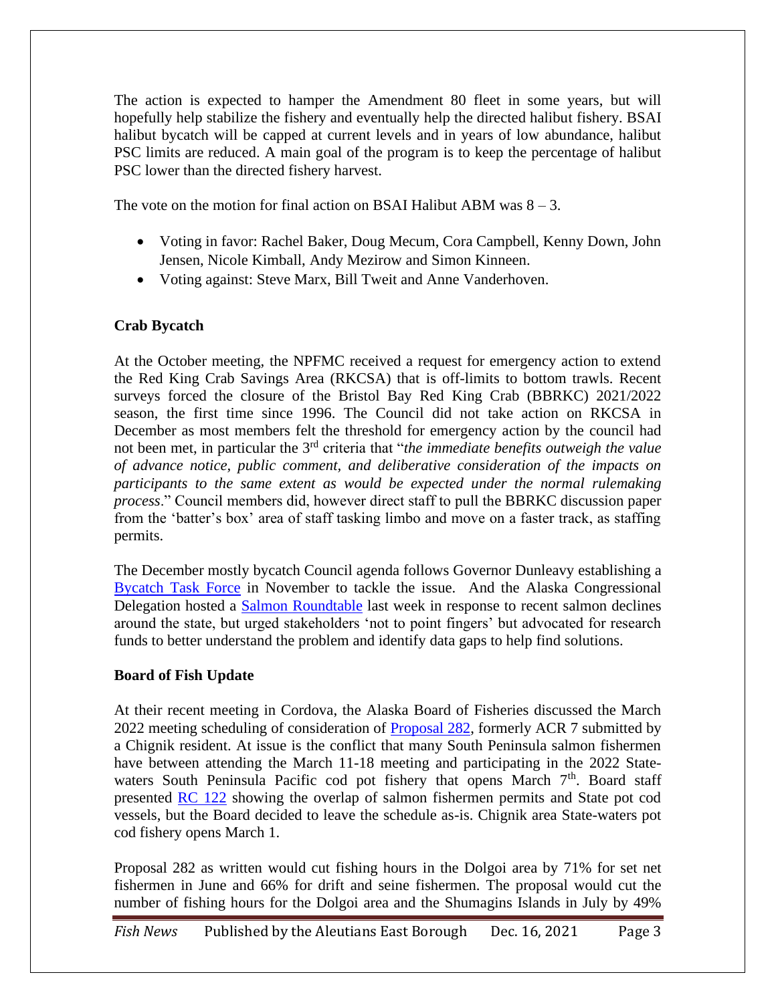The action is expected to hamper the Amendment 80 fleet in some years, but will hopefully help stabilize the fishery and eventually help the directed halibut fishery. BSAI halibut bycatch will be capped at current levels and in years of low abundance, halibut PSC limits are reduced. A main goal of the program is to keep the percentage of halibut PSC lower than the directed fishery harvest.

The vote on the motion for final action on BSAI Halibut ABM was  $8 - 3$ .

- Voting in favor: Rachel Baker, Doug Mecum, Cora Campbell, Kenny Down, John Jensen, Nicole Kimball, Andy Mezirow and Simon Kinneen.
- Voting against: Steve Marx, Bill Tweit and Anne Vanderhoven.

#### **Crab Bycatch**

At the October meeting, the NPFMC received a request for emergency action to extend the Red King Crab Savings Area (RKCSA) that is off-limits to bottom trawls. Recent surveys forced the closure of the Bristol Bay Red King Crab (BBRKC) 2021/2022 season, the first time since 1996. The Council did not take action on RKCSA in December as most members felt the threshold for emergency action by the council had not been met, in particular the 3rd criteria that "*the immediate benefits outweigh the value of advance notice, public comment, and deliberative consideration of the impacts on participants to the same extent as would be expected under the normal rulemaking process*." Council members did, however direct staff to pull the BBRKC discussion paper from the 'batter's box' area of staff tasking limbo and move on a faster track, as staffing permits.

The December mostly bycatch Council agenda follows Governor Dunleavy establishing a [Bycatch Task Force](https://gov.alaska.gov/admin-orders/administrative-order-no-326/) in November to tackle the issue. And the Alaska Congressional Delegation hosted a **Salmon Roundtable** last week in response to recent salmon declines around the state, but urged stakeholders 'not to point fingers' but advocated for research funds to better understand the problem and identify data gaps to help find solutions.

#### **Board of Fish Update**

At their recent meeting in Cordova, the Alaska Board of Fisheries discussed the March 2022 meeting scheduling of consideration of [Proposal 282,](http://www.adfg.alaska.gov/static-f/regulations/regprocess/fisheriesboard/pdfs/2021-2022/proposals/282.pdf) formerly ACR 7 submitted by a Chignik resident. At issue is the conflict that many South Peninsula salmon fishermen have between attending the March 11-18 meeting and participating in the 2022 Statewaters South Peninsula Pacific cod pot fishery that opens March 7<sup>th</sup>. Board staff presented [RC 122](http://www.adfg.alaska.gov/static-f/regulations/regprocess/fisheriesboard/pdfs/2021-2022/pws/rcs/rc122_AKDFG_Memo_on_Salmon_and_P_Cod_in_South_AK_Pen.pdf) showing the overlap of salmon fishermen permits and State pot cod vessels, but the Board decided to leave the schedule as-is. Chignik area State-waters pot cod fishery opens March 1.

Proposal 282 as written would cut fishing hours in the Dolgoi area by 71% for set net fishermen in June and 66% for drift and seine fishermen. The proposal would cut the number of fishing hours for the Dolgoi area and the Shumagins Islands in July by 49%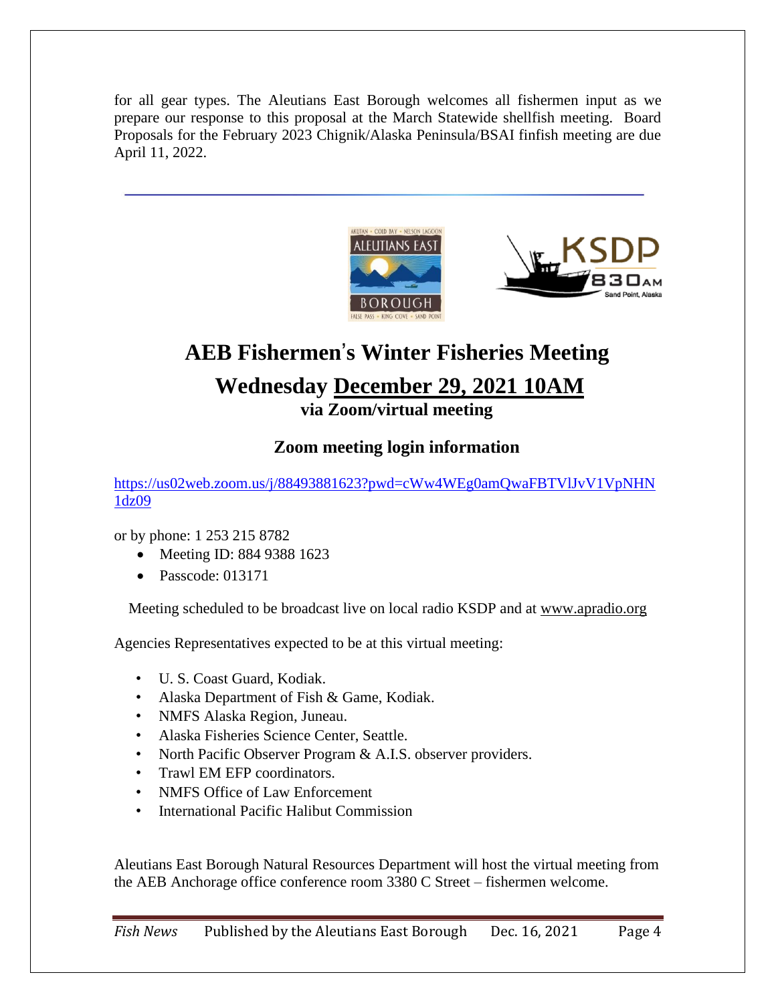for all gear types. The Aleutians East Borough welcomes all fishermen input as we prepare our response to this proposal at the March Statewide shellfish meeting. Board Proposals for the February 2023 Chignik/Alaska Peninsula/BSAI finfish meeting are due April 11, 2022.





## **AEB Fishermen**'**s Winter Fisheries Meeting Wednesday December 29, 2021 10AM via Zoom/virtual meeting**

### **Zoom meeting login information**

[https://us02web.zoom.us/j/88493881623?pwd=cWw4WEg0amQwaFBTVlJvV1VpNHN](https://us02web.zoom.us/j/88493881623?pwd=cWw4WEg0amQwaFBTVlJvV1VpNHN1dz09) [1dz09](https://us02web.zoom.us/j/88493881623?pwd=cWw4WEg0amQwaFBTVlJvV1VpNHN1dz09)

or by phone: 1 253 215 8782

- Meeting ID: 884 9388 1623
- Passcode: 013171

Meeting scheduled to be broadcast live on local radio KSDP and a[t](http://www.apradio.org/) [www.apradio.org](http://www.apradio.org/)

Agencies Representatives expected to be at this virtual meeting:

- U. S. Coast Guard, Kodiak.
- Alaska Department of Fish & Game, Kodiak.
- NMFS Alaska Region, Juneau.
- Alaska Fisheries Science Center, Seattle.
- North Pacific Observer Program & A.I.S. observer providers.
- Trawl EM EFP coordinators.
- NMFS Office of Law Enforcement
- International Pacific Halibut Commission

Aleutians East Borough Natural Resources Department will host the virtual meeting from the AEB Anchorage office conference room 3380 C Street – fishermen welcome.